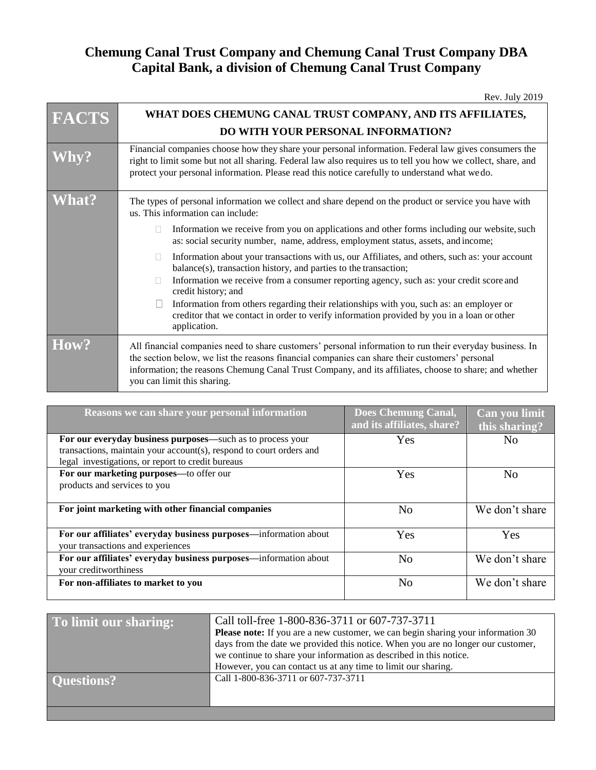## **Chemung Canal Trust Company and Chemung Canal Trust Company DBA Capital Bank, a division of Chemung Canal Trust Company**

| <b>FACTS</b> | WHAT DOES CHEMUNG CANAL TRUST COMPANY, AND ITS AFFILIATES,                                                                                                                                                                                                                                                                                          |
|--------------|-----------------------------------------------------------------------------------------------------------------------------------------------------------------------------------------------------------------------------------------------------------------------------------------------------------------------------------------------------|
|              | DO WITH YOUR PERSONAL INFORMATION?                                                                                                                                                                                                                                                                                                                  |
|              | Financial companies choose how they share your personal information. Federal law gives consumers the<br>right to limit some but not all sharing. Federal law also requires us to tell you how we collect, share, and<br>protect your personal information. Please read this notice carefully to understand what we do.                              |
| <b>Nhat?</b> | The types of personal information we collect and share depend on the product or service you have with<br>us. This information can include:                                                                                                                                                                                                          |
|              | Information we receive from you on applications and other forms including our website, such<br>$\Box$<br>as: social security number, name, address, employment status, assets, and income;                                                                                                                                                          |
|              | Information about your transactions with us, our Affiliates, and others, such as: your account<br>$\mathbb{R}^n$<br>balance(s), transaction history, and parties to the transaction;                                                                                                                                                                |
|              | Information we receive from a consumer reporting agency, such as: your credit score and<br>credit history; and                                                                                                                                                                                                                                      |
|              | Information from others regarding their relationships with you, such as: an employer or<br>creditor that we contact in order to verify information provided by you in a loan or other<br>application.                                                                                                                                               |
| How?         | All financial companies need to share customers' personal information to run their everyday business. In<br>the section below, we list the reasons financial companies can share their customers' personal<br>information; the reasons Chemung Canal Trust Company, and its affiliates, choose to share; and whether<br>you can limit this sharing. |

| Reasons we can share your personal information                                                                                                                                         | <b>Does Chemung Canal,</b><br>and its affiliates, share? | Can you limit<br>this sharing? |
|----------------------------------------------------------------------------------------------------------------------------------------------------------------------------------------|----------------------------------------------------------|--------------------------------|
| For our everyday business purposes—such as to process your<br>transactions, maintain your account(s), respond to court orders and<br>legal investigations, or report to credit bureaus | Yes                                                      | No                             |
| For our marketing purposes—to offer our<br>products and services to you                                                                                                                | Yes                                                      | No                             |
| For joint marketing with other financial companies                                                                                                                                     | No                                                       | We don't share                 |
| For our affiliates' everyday business purposes—information about<br>your transactions and experiences                                                                                  | Yes                                                      | Yes                            |
| For our affiliates' everyday business purposes—information about<br>your creditworthiness                                                                                              | No                                                       | We don't share                 |
| For non-affiliates to market to you                                                                                                                                                    | N <sub>0</sub>                                           | We don't share                 |

| To limit our sharing: | Call toll-free 1-800-836-3711 or 607-737-3711<br><b>Please note:</b> If you are a new customer, we can begin sharing your information 30<br>days from the date we provided this notice. When you are no longer our customer,<br>we continue to share your information as described in this notice. |
|-----------------------|----------------------------------------------------------------------------------------------------------------------------------------------------------------------------------------------------------------------------------------------------------------------------------------------------|
| Ouestions?            | However, you can contact us at any time to limit our sharing.<br>Call 1-800-836-3711 or 607-737-3711                                                                                                                                                                                               |